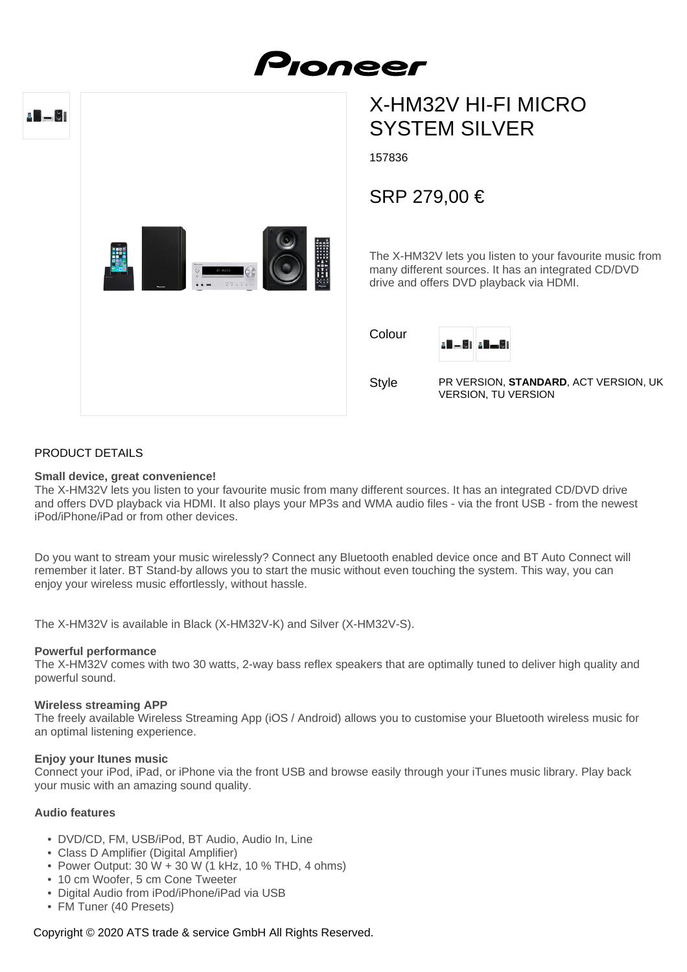

# X-HM32V HI-FI MICRO SYSTEM SILVER

157836

## SRP 279,00 €

The X-HM32V lets you listen to your favourite music from many different sources. It has an integrated CD/DVD drive and offers DVD playback via HDMI.

| Colour       |                 |
|--------------|-----------------|
| <b>Style</b> | PR VERSION, STA |

PR VERSION, **STANDARD**, ACT VERSION, UK VERSION, TU VERSION

#### PRODUCT DETAILS

#### **Small device, great convenience!**

The X-HM32V lets you listen to your favourite music from many different sources. It has an integrated CD/DVD drive and offers DVD playback via HDMI. It also plays your MP3s and WMA audio files - via the front USB - from the newest iPod/iPhone/iPad or from other devices.

Do you want to stream your music wirelessly? Connect any Bluetooth enabled device once and BT Auto Connect will remember it later. BT Stand-by allows you to start the music without even touching the system. This way, you can enjoy your wireless music effortlessly, without hassle.

The X-HM32V is available in Black (X-HM32V-K) and Silver (X-HM32V-S).

#### **Powerful performance**

The X-HM32V comes with two 30 watts, 2-way bass reflex speakers that are optimally tuned to deliver high quality and powerful sound.

#### **Wireless streaming APP**

The freely available Wireless Streaming App (iOS / Android) allows you to customise your Bluetooth wireless music for an optimal listening experience.

#### **Enjoy your Itunes music**

Connect your iPod, iPad, or iPhone via the front USB and browse easily through your iTunes music library. Play back your music with an amazing sound quality.

#### **Audio features**

- DVD/CD, FM, USB/iPod, BT Audio, Audio In, Line
- Class D Amplifier (Digital Amplifier)
- Power Output: 30 W  $+$  30 W (1 kHz, 10 % THD, 4 ohms)
- 10 cm Woofer, 5 cm Cone Tweeter
- Digital Audio from iPod/iPhone/iPad via USB
- FM Tuner (40 Presets)

#### Copyright © 2020 ATS trade & service GmbH All Rights Reserved.